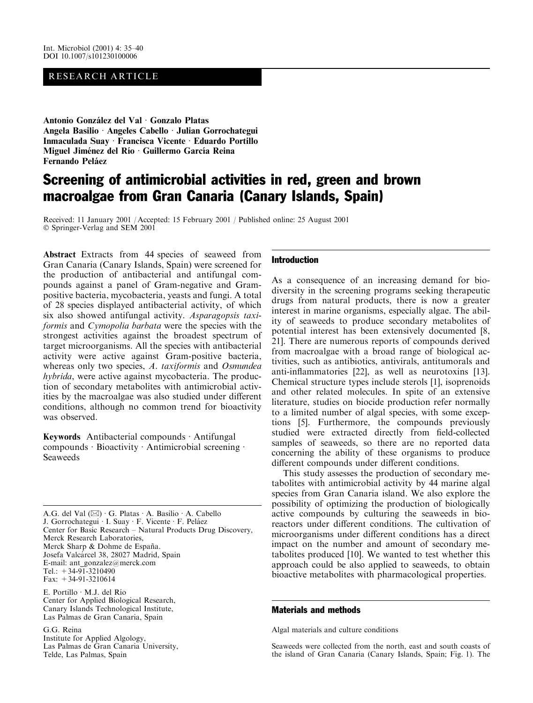## RESEARCH ARTICLE

Antonio González del Val · Gonzalo Platas Angela Basilio · Angeles Cabello · Julian Gorrochategui Inmaculada Suay · Francisca Vicente · Eduardo Portillo Miguel Jiménez del Río · Guillermo García Reina **Fernando Peláez** 

# Screening of antimicrobial activities in red, green and brown macroalgae from Gran Canaria (Canary Islands, Spain)

Received: 11 January 2001 / Accepted: 15 February 2001 / Published online: 25 August 2001 © Springer-Verlag and SEM 2001

Abstract Extracts from 44 species of seaweed from Gran Canaria (Canary Islands, Spain) were screened for the production of antibacterial and antifungal compounds against a panel of Gram-negative and Grampositive bacteria, mycobacteria, yeasts and fungi. A total of 28 species displayed antibacterial activity, of which six also showed antifungal activity. Asparagopsis taxiformis and Cymopolia barbata were the species with the strongest activities against the broadest spectrum of target microorganisms. All the species with antibacterial activity were active against Gram-positive bacteria, whereas only two species, A. taxiformis and Osmundea hybrida, were active against mycobacteria. The production of secondary metabolites with antimicrobial activities by the macroalgae was also studied under different conditions, although no common trend for bioactivity was observed.

Keywords Antibacterial compounds Antifungal compounds · Bioactivity · Antimicrobial screening · **Seaweeds** 

A.G. del Val ( $\boxtimes$ ) · G. Platas · A. Basilio · A. Cabello J. Gorrochategui · I. Suay · F. Vicente · F. Peláez Center for Basic Research - Natural Products Drug Discovery, Merck Research Laboratories, Merck Sharp & Dohme de España. Josefa Valcárcel 38, 28027 Madrid, Spain E-mail: ant\_gonzalez@merck.com Tel.:  $+34-91-3210490$ Fax:  $+34-91-3210614$ 

E. Portillo · M.J. del Río Center for Applied Biological Research, Canary Islands Technological Institute, Las Palmas de Gran Canaria, Spain

G.G. Reina Institute for Applied Algology, Las Palmas de Gran Canaria University, Telde, Las Palmas, Spain

#### **Introduction**

As a consequence of an increasing demand for biodiversity in the screening programs seeking therapeutic drugs from natural products, there is now a greater interest in marine organisms, especially algae. The ability of seaweeds to produce secondary metabolites of potential interest has been extensively documented [8, 21]. There are numerous reports of compounds derived from macroalgae with a broad range of biological activities, such as antibiotics, antivirals, antitumorals and anti-inflammatories [22], as well as neurotoxins [13]. Chemical structure types include sterols [1], isoprenoids and other related molecules. In spite of an extensive literature, studies on biocide production refer normally to a limited number of algal species, with some exceptions [5]. Furthermore, the compounds previously studied were extracted directly from field-collected samples of seaweeds, so there are no reported data concerning the ability of these organisms to produce different compounds under different conditions.

This study assesses the production of secondary metabolites with antimicrobial activity by 44 marine algal species from Gran Canaria island. We also explore the possibility of optimizing the production of biologically active compounds by culturing the seaweeds in bioreactors under different conditions. The cultivation of microorganisms under different conditions has a direct impact on the number and amount of secondary metabolites produced [10]. We wanted to test whether this approach could be also applied to seaweeds, to obtain bioactive metabolites with pharmacological properties.

### **Materials and methods**

Algal materials and culture conditions

Seaweeds were collected from the north, east and south coasts of the island of Gran Canaria (Canary Islands, Spain; Fig. 1). The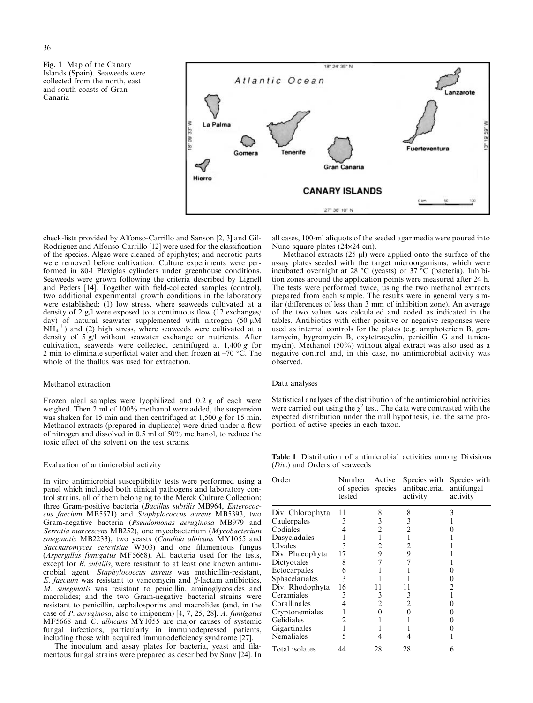Fig. 1 Map of the Canary Islands (Spain). Seaweeds were collected from the north, east and south coasts of Gran Canaria



check-lists provided by Alfonso-Carrillo and Sanson [2, 3] and Gil-Rodriguez and Alfonso-Carrillo [12] were used for the classification of the species. Algae were cleaned of epiphytes; and necrotic parts were removed before cultivation. Culture experiments were performed in 80-1 Plexiglas cylinders under greenhouse conditions. Seaweeds were grown following the criteria described by Lignell and Peders [14]. Together with field-collected samples (control), two additional experimental growth conditions in the laboratory were established: (1) low stress, where seaweeds cultivated at a density of 2  $g/l$  were exposed to a continuous flow (12 exchanges) day) of natural seawater supplemented with nitrogen  $(50 \mu M)$  $NH_4^+$ ) and (2) high stress, where seaweeds were cultivated at a density of  $5 \text{ g/l}$  without seawater exchange or nutrients. After cultivation, seaweeds were collected, centrifuged at 1,400 g for 2 min to eliminate superficial water and then frozen at  $-70$  °C. The whole of the thallus was used for extraction.

#### Methanol extraction

Frozen algal samples were lyophilized and 0.2 g of each were weighed. Then 2 ml of 100% methanol were added, the suspension was shaken for 15 min and then centrifuged at 1,500  $g$  for 15 min. Methanol extracts (prepared in duplicate) were dried under a flow of nitrogen and dissolved in 0.5 ml of 50% methanol, to reduce the toxic effect of the solvent on the test strains.

#### Evaluation of antimicrobial activity

In vitro antimicrobial susceptibility tests were performed using a panel which included both clinical pathogens and laboratory control strains, all of them belonging to the Merck Culture Collection: three Gram-positive bacteria (Bacillus subtilis MB964, Enterococcus faecium MB5571) and Staphylococcus aureus MB5393, two Gram-negative bacteria (Pseudomonas aeruginosa MB979 and Serratia marcescens MB252), one mycobacterium (Mycobacterium smegmatis MB2233), two yeasts (Candida albicans MY1055 and Saccharomyces cerevisiae W303) and one filamentous fungus (Aspergillus fumigatus MF5668). All bacteria used for the tests, except for *B. subtilis*, were resistant to at least one known antimicrobial agent: Staphylococcus aureus was methicillin-resistant, E. faecium was resistant to vancomycin and  $\beta$ -lactam antibiotics, M. smegmatis was resistant to penicillin, aminoglycosides and macrolides; and the two Gram-negative bacterial strains were resistant to penicillin, cephalosporins and macrolides (and, in the case of *P. aeruginosa*, also to imipenem) [4, 7, 25, 28]. *A. fumigatus* MF5668 and C. albicans MY1055 are major causes of systemic fungal infections, particularly in immunodepressed patients, including those with acquired immunodeficiency syndrome [27].

The inoculum and assay plates for bacteria, yeast and filamentous fungal strains were prepared as described by Suay [24]. In all cases, 100-ml aliquots of the seeded agar media were poured into Nunc square plates  $(24\times24 \text{ cm})$ .

Methanol extracts  $(25 \mu l)$  were applied onto the surface of the assay plates seeded with the target microorganisms, which were incubated overnight at 28 °C (yeasts) or 37 °C (bacteria). Inhibition zones around the application points were measured after 24 h. The tests were performed twice, using the two methanol extracts prepared from each sample. The results were in general very similar (differences of less than 3 mm of inhibition zone). An average of the two values was calculated and coded as indicated in the tables. Antibiotics with either positive or negative responses were used as internal controls for the plates (e.g. amphotericin B, gentamycin, hygromycin B, oxytetracyclin, penicillin G and tunicamycin). Methanol (50%) without algal extract was also used as a negative control and, in this case, no antimicrobial activity was observed.

#### Data analyses

Statistical analyses of the distribution of the antimicrobial activities were carried out using the  $\chi^2$  test. The data were contrasted with the expected distribution under the null hypothesis, i.e. the same proportion of active species in each taxon.

Table 1 Distribution of antimicrobial activities among Divisions (Div.) and Orders of seaweeds

| Order             | Number Active<br>of species species<br>tested |    | Species with<br>antibacterial<br>activity | Species with<br>antifungal<br>activity |
|-------------------|-----------------------------------------------|----|-------------------------------------------|----------------------------------------|
| Div. Chlorophyta  | 11                                            | 8  | 8                                         | 3                                      |
| Caulerpales       | 3                                             | 3  | 3                                         |                                        |
| Codiales          |                                               | 2  | 2                                         |                                        |
| Dasycladales      |                                               |    |                                           |                                        |
| <b>U</b> lvales   | 3                                             | 2  | 2                                         |                                        |
| Div. Phaeophyta   | 17                                            | 9  | 9                                         |                                        |
| Dictyotales       | 8                                             |    |                                           |                                        |
| Ectocarpales      | 6                                             |    |                                           |                                        |
| Sphacelariales    | 3                                             |    |                                           |                                        |
| Div. Rhodophyta   | 16                                            | п  |                                           |                                        |
| Ceramiales        | 3                                             | 3  | 3                                         |                                        |
| Corallinales      |                                               | 2  | 2                                         |                                        |
| Cryptonemiales    |                                               |    | $\mathbf{\Omega}$                         |                                        |
| Gelidiales        |                                               |    |                                           |                                        |
| Gigartinales      |                                               |    |                                           |                                        |
| <b>Nemaliales</b> | 5                                             |    |                                           |                                        |
| Total isolates    | 44                                            | 28 | 28                                        | 6                                      |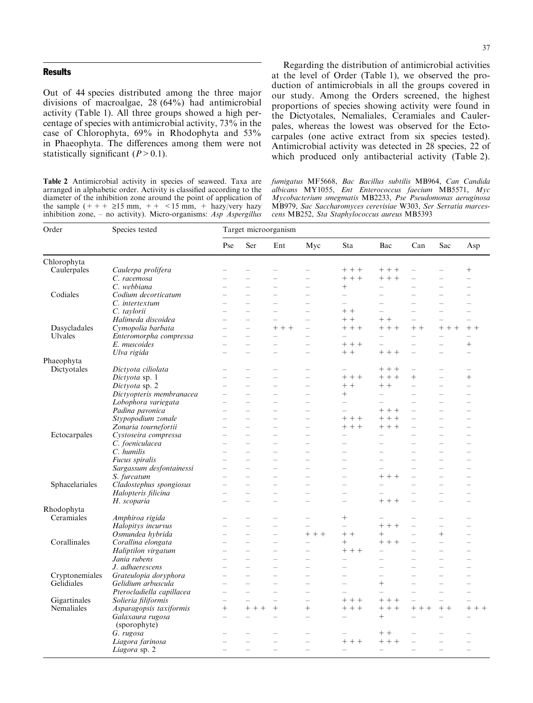## **Results**

Out of 44 species distributed among the three major divisions of macroalgae, 28 (64%) had antimicrobial activity (Table 1). All three groups showed a high percentage of species with antimicrobial activity, 73% in the case of Chlorophyta, 69% in Rhodophyta and 53% in Phaeophyta. The differences among them were not statistically significant  $(P > 0.1)$ .

Table 2 Antimicrobial activity in species of seaweed. Taxa are arranged in alphabetic order. Activity is classified according to the diameter of the inhibition zone around the point of application of the sample  $(++215 \text{ mm}, ++315 \text{ mm}, + \text{hazy/very} \text{ hazy})$ inhibition zone,  $-$  no activity). Micro-organisms: Asp Aspergillus

Regarding the distribution of antimicrobial activities at the level of Order (Table 1), we observed the production of antimicrobials in all the groups covered in our study. Among the Orders screened, the highest proportions of species showing activity were found in the Dictyotales, Nemaliales, Ceramiales and Caulerpales, whereas the lowest was observed for the Ectocarpales (one active extract from six species tested). Antimicrobial activity was detected in 28 species, 22 of which produced only antibacterial activity (Table 2).

fumigatus MF5668, Bac Bacillus subtilis MB964, Can Candida albicans MY1055, Ent Enterococcus faecium MB5571, Myc Mycobacterium smegmatis MB2233, Pse Pseudomonas aeruginosa MB979, Sac Saccharomyces cerevisiae W303, Ser Serratia marcescens MB252, Sta Staphylococcus aureus MB5393

| Order          | Species tested            | Target microorganism     |                          |                                    |                          |                          |                          |                          |                                   |                              |
|----------------|---------------------------|--------------------------|--------------------------|------------------------------------|--------------------------|--------------------------|--------------------------|--------------------------|-----------------------------------|------------------------------|
|                |                           | Pse                      | Ser                      | Ent                                | Myc                      | Sta                      | Bac                      | Can                      | Sac                               | Asp                          |
| Chlorophyta    |                           |                          |                          |                                    |                          |                          |                          |                          |                                   |                              |
| Caulerpales    | Caulerpa prolifera        |                          |                          |                                    |                          | $++ +$                   | $++$                     |                          |                                   | $^{+}$                       |
|                | C. racemosa               | $\overline{\phantom{a}}$ | $\overline{a}$           | $\overline{a}$                     | $\overline{ }$           | $+ + +$                  | $+ + +$                  | $\equiv$                 | $\overline{\phantom{0}}$          | $\equiv$                     |
|                | C. webbiana               |                          |                          | $\equiv$                           |                          | $^{+}$                   |                          |                          |                                   |                              |
| Codiales       | Codium decorticatum       |                          | $\overline{\phantom{0}}$ | $=$                                | $\overline{a}$           | $\overline{a}$           |                          | $\overline{ }$           | $\overline{ }$                    | $\equiv$                     |
|                | C. intertextum            |                          | $\overline{\phantom{a}}$ | $\overline{\phantom{a}}$           |                          | $\overline{\phantom{0}}$ |                          | $\overline{\phantom{a}}$ | $\overline{a}$                    | $\equiv$                     |
|                | C. taylorii               |                          |                          | $\overline{\phantom{a}}$           | $\equiv$                 | $+ +$                    |                          | $\overline{\phantom{a}}$ | $\overline{a}$                    |                              |
|                | Halimeda discoidea        |                          | $\equiv$                 | $\equiv$                           | $\overline{\phantom{0}}$ | $+ +$                    | $+ +$                    | $\overline{a}$           | $\equiv$                          | $\overline{\phantom{0}}$     |
| Dasycladales   | Cymopolia barbata         |                          |                          | $+ + +$                            |                          | $+ + +$                  | $+ + +$                  | $+ +$                    | $++$<br>$+$                       | $+ +$                        |
| Ulvales        | Enteromorpha compressa    |                          | $\overline{\phantom{0}}$ | $\equiv$                           | $\overline{\phantom{0}}$ | $-$                      |                          | $\overline{\phantom{0}}$ | $\overline{\phantom{0}}$          |                              |
|                | E. muscoides              |                          |                          |                                    |                          | $++$ + $+$               |                          |                          |                                   | $^{+}$                       |
|                | Ulva rigida               |                          | $\overline{\phantom{0}}$ | $\overline{ }$                     | $\overline{a}$           | $+ +$                    | $++$                     | $\overline{a}$           | $\overline{\phantom{0}}$          | $\overline{\phantom{0}}$     |
| Phaeophyta     |                           |                          |                          |                                    |                          |                          |                          |                          |                                   |                              |
| Dictyotales    | Dictyota ciliolata        |                          | $\overline{\phantom{0}}$ |                                    | $\equiv$                 |                          | $++ +$                   | $\overline{\phantom{0}}$ |                                   | $\overline{\phantom{0}}$     |
|                | Dictyota sp. 1            |                          | $\equiv$                 | $\overline{\phantom{0}}$           | $\equiv$                 | $++ +$                   | $+ + +$                  | $\! + \!\!\!\!$          | $\overline{\phantom{a}}$          | $^{+}$                       |
|                | Dictyota sp. 2            |                          |                          | $\equiv$                           | $\equiv$                 | $+ +$                    | $+ +$                    | $\overline{\phantom{0}}$ | $\overline{ }$                    | $\overline{\phantom{m}}$     |
|                | Dictyopteris membranacea  |                          |                          |                                    |                          | $^{+}$                   | $-$                      | $\overline{\phantom{0}}$ | $\overline{\phantom{0}}$          | $\overline{\phantom{m}}$     |
|                | Lobophora variegata       |                          |                          |                                    |                          |                          |                          |                          |                                   |                              |
|                | Padina pavonica           |                          | $\equiv$                 | $=$                                | $\equiv$                 | $\overline{a}$           | $++ +$                   | $=$                      | $\overline{\phantom{0}}$          | $\equiv$                     |
|                | Stypopodium zonale        |                          |                          | $\overline{\phantom{0}}$           | $\equiv$                 | $^{+}$<br>$++$           | $+ + +$                  | $\overline{\phantom{0}}$ | $\overline{a}$                    | $\equiv$                     |
|                | Zonaria tournefortii      |                          |                          | $\overline{\phantom{0}}$           | $\equiv$                 | $+ + +$                  | $+ + +$                  |                          | $\overline{\phantom{0}}$          | $\equiv$                     |
| Ectocarpales   | Cystoseira compressa      |                          | $\overline{\phantom{0}}$ | $\overline{\phantom{0}}$           | $\overline{\phantom{0}}$ |                          |                          | $\overline{\phantom{0}}$ | $\overline{\phantom{0}}$          | $\overline{\phantom{0}}$     |
|                | C. foeniculacea           |                          | $\overline{\phantom{0}}$ | $=$                                | $\overline{\phantom{0}}$ | L.                       |                          | $\overline{a}$           | $\overline{\phantom{0}}$          | $\overline{\phantom{0}}$     |
|                | C. humilis                |                          |                          | $\equiv$                           | $\equiv$                 | $\overline{\phantom{a}}$ |                          | $\overline{\phantom{0}}$ | $\overline{\phantom{0}}$          | $\overline{\phantom{0}}$     |
|                | Fucus spiralis            |                          |                          |                                    |                          |                          |                          |                          | $\overline{ }$                    |                              |
|                | Sargassum desfontainessi  |                          | $\overline{\phantom{0}}$ | $\overline{a}$                     | $\equiv$                 | L.                       | L.                       | $\overline{\phantom{0}}$ | $\overline{\phantom{0}}$          | $\overline{\phantom{0}}$     |
|                | S. furcatum               |                          |                          | $\overline{a}$                     |                          |                          | $^{+}$<br>$+ +$          |                          | $\overline{\phantom{0}}$          | $\equiv$                     |
| Sphacelariales | Cladostephus spongiosus   |                          |                          | $\overline{a}$                     |                          |                          |                          | $\overline{a}$           |                                   | $\equiv$                     |
|                | Halopteris filicina       |                          |                          | $\overline{\phantom{0}}$           |                          |                          |                          |                          | $\overline{\phantom{0}}$          | $\overline{\phantom{0}}$     |
|                | H. scoparia               |                          | $\overline{\phantom{0}}$ | $\overline{\phantom{a}}$           | $\overline{\phantom{0}}$ | $\overline{\phantom{0}}$ | $+ + +$                  | $\overline{\phantom{a}}$ | $\overline{\phantom{0}}$          | $\overline{\phantom{0}}$     |
| Rhodophyta     |                           |                          |                          |                                    |                          |                          |                          |                          |                                   |                              |
| Ceramiales     | Amphiroa rigida           |                          | $\equiv$                 | $\overline{\phantom{0}}$           | $\equiv$                 | $^{+}$                   |                          |                          | $\overline{\phantom{0}}$          | $\equiv$                     |
|                | Halopitys incurvus        |                          |                          | $\equiv$                           | $\equiv$                 | $\overline{\phantom{0}}$ | $+ + +$                  | $\overline{\phantom{0}}$ | $\overline{\phantom{0}}$          | $\overline{\phantom{0}}$     |
|                | Osmundea hybrida          |                          |                          | $\equiv$                           | $+ +$<br>$+$             | $+ +$                    | $\ddot{}$                |                          | $\ddot{}$                         |                              |
| Corallinales   | Corallina elongata        | $\overline{\phantom{0}}$ | $\equiv$                 | $=$                                | $\overline{\phantom{0}}$ | $^{+}$                   | $+ + +$                  | $\overline{a}$           | $\overline{\phantom{0}}$          | $\equiv$                     |
|                | Haliptilon virgatum       |                          | $\overline{\phantom{0}}$ | $\equiv$                           | $\equiv$                 | $+$<br>$+ +$             |                          | $\overline{\phantom{a}}$ | $\overline{a}$                    | $\equiv$                     |
|                | Jania rubens              |                          |                          | $\equiv$                           |                          | $\overline{a}$           |                          |                          | $\overline{ }$                    | $\equiv$                     |
|                | J. adhaerescens           |                          | $\equiv$                 | $\overline{\phantom{0}}$           | $\equiv$                 | $\overline{\phantom{a}}$ |                          | $\overline{\phantom{0}}$ | $\overline{a}$                    | $\overline{\phantom{0}}$     |
| Cryptonemiales | Grateulopia doryphora     |                          | $\equiv$                 | $\overline{a}$                     | $\equiv$                 | $\overline{\phantom{a}}$ | $\overline{\phantom{0}}$ | $\overline{\phantom{a}}$ | $\overline{a}$                    | $\equiv$                     |
| Gelidiales     | Gelidium arbuscula        | $\overline{\phantom{0}}$ | $\equiv$                 | $\overline{\phantom{0}}$           | $\equiv$                 | L.                       | $^{+}$                   | $\overline{\phantom{0}}$ | $\overline{a}$                    | $\equiv$                     |
|                | Pterocladiella capillacea |                          |                          |                                    |                          |                          |                          |                          |                                   |                              |
| Gigartinales   | Solieria filiformis       |                          |                          |                                    | $\overline{\phantom{0}}$ | $+ + +$                  | $++ +$                   | $\equiv$                 |                                   |                              |
|                |                           | $^{+}$                   | $^{+}$<br>$++$           | $\overline{\phantom{0}}$<br>$^{+}$ | $^{+}$                   | $^{+}$<br>$+ +$          | $+ + +$                  | $+ +$<br>$+$             | $\overline{\phantom{0}}$<br>$+ +$ | $\qquad \qquad -$<br>$+ + +$ |
| Nemaliales     | Asparagopsis taxiformis   | $\overline{\phantom{0}}$ | $\overline{\phantom{0}}$ | $\overline{\phantom{0}}$           | $\overline{\phantom{0}}$ |                          | $^{+}$                   |                          |                                   |                              |
|                | Galaxaura rugosa          |                          |                          |                                    |                          |                          |                          |                          |                                   | $\overline{\phantom{0}}$     |
|                | (sporophyte)              |                          |                          |                                    |                          |                          |                          |                          |                                   |                              |
|                | G. rugosa                 |                          |                          |                                    |                          |                          | $\! +$                   |                          |                                   |                              |
|                | Liagora farinosa          |                          | $\equiv$                 | $\overline{\phantom{0}}$           |                          | $+$<br>$+ +$             | $^{+}$<br>$+ +$          |                          | $\overline{\phantom{0}}$          |                              |
|                | Liagora sp. 2             | $\overline{\phantom{a}}$ | $\overline{\phantom{0}}$ | $\overline{\phantom{a}}$           | $\overline{\phantom{0}}$ | $\overline{\phantom{0}}$ | $\overline{\phantom{0}}$ | $\equiv$                 | $\overline{\phantom{0}}$          | $\equiv$                     |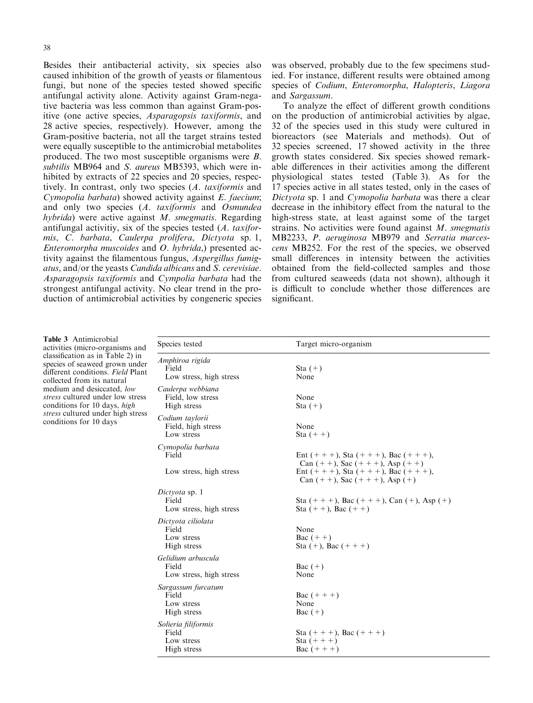Besides their antibacterial activity, six species also caused inhibition of the growth of yeasts or filamentous fungi, but none of the species tested showed specific antifungal activity alone. Activity against Gram-negative bacteria was less common than against Gram-positive (one active species, *Asparagopsis taxiformis*, and 28 active species, respectively). However, among the Gram-positive bacteria, not all the target strains tested were equally susceptible to the antimicrobial metabolites produced. The two most susceptible organisms were  $B$ . subtilis MB964 and S. aureus MB5393, which were inhibited by extracts of 22 species and 20 species, respectively. In contrast, only two species (A. taxiformis and Cymopolia barbata) showed activity against E. faecium; and only two species (A. taxiformis and Osmundea  $hybrida$ ) were active against  $M$ . smegmatis. Regarding antifungal activitiv, six of the species tested (A. taxiformis, C. barbata, Caulerpa prolifera, Dictyota sp. 1, Enteromorpha muscoides and O. hybrida,) presented activity against the filamentous fungus, *Aspergillus fumig*atus, and/or the yeasts Candida albicans and S. cerevisiae. Asparagopsis taxiformis and Cympolia barbata had the strongest antifungal activity. No clear trend in the production of antimicrobial activities by congeneric species

was observed, probably due to the few specimens studied. For instance, different results were obtained among species of Codium, Enteromorpha, Halopteris, Liagora and Sargassum.

To analyze the effect of different growth conditions on the production of antimicrobial activities by algae, 32 of the species used in this study were cultured in bioreactors (see Materials and methods). Out of 32 species screened, 17 showed activity in the three growth states considered. Six species showed remarkable differences in their activities among the different physiological states tested (Table 3). As for the 17 species active in all states tested, only in the cases of Dictyota sp. 1 and Cymopolia barbata was there a clear decrease in the inhibitory effect from the natural to the high-stress state, at least against some of the target strains. No activities were found against  $M$ . *smegmatis* MB2233, P. aeruginosa MB979 and Serratia marcescens MB252. For the rest of the species, we observed small differences in intensity between the activities obtained from the field-collected samples and those from cultured seaweeds (data not shown), although it is difficult to conclude whether those differences are significant.

Table 3 Antimicrobial

activities (micro-organisms and classification as in Table 2) in species of seaweed grown under different conditions. Field Plant collected from its natural medium and desiccated, low stress cultured under low stress conditions for 10 days, high stress cultured under high stress conditions for 10 days

| Species tested                                            | Target micro-organism                                                                                                                                                                      |  |
|-----------------------------------------------------------|--------------------------------------------------------------------------------------------------------------------------------------------------------------------------------------------|--|
| Amphiroa rigida<br>Field<br>Low stress, high stress       | Sta $(+)$<br>None                                                                                                                                                                          |  |
| Caulerpa webbiana<br>Field, low stress<br>High stress     | None<br>Sta $(+)$                                                                                                                                                                          |  |
| Codium taylorii<br>Field, high stress<br>Low stress       | None<br>Sta $(+ +)$                                                                                                                                                                        |  |
| Cymopolia barbata<br>Field<br>Low stress, high stress     | Ent $(+ + +)$ , Sta $(+ + +)$ , Bac $(+ + +)$ ,<br>Can $(+ +)$ , Sac $(+ + +)$ , Asp $(+ +)$<br>Ent $(+ + +)$ , Sta $(+ + +)$ , Bac $(+ + +)$ ,<br>Can $(+ +)$ , Sac $(+ + +)$ , Asp $(+)$ |  |
| Dictyota sp. 1<br>Field<br>Low stress, high stress        | Sta $(+ + +)$ , Bac $(+ + +)$ , Can $(+)$ , Asp $(+)$<br>Sta $(+ +)$ , Bac $(+ +)$                                                                                                         |  |
| Dictyota ciliolata<br>Field<br>Low stress<br>High stress  | None<br>Bac $(+ +)$<br>Sta $(+)$ , Bac $(+ + +)$                                                                                                                                           |  |
| Gelidium arbuscula<br>Field<br>Low stress, high stress    | Bac $(+)$<br>None                                                                                                                                                                          |  |
| Sargassum furcatum<br>Field<br>Low stress<br>High stress  | $Bac (+ + +)$<br>None<br>Bac $(+)$                                                                                                                                                         |  |
| Solieria filiformis<br>Field<br>Low stress<br>High stress | Sta $(+ + +)$ , Bac $(+ + +)$<br>Sta $(+ + +)$<br>$\text{Bac}(+++)$                                                                                                                        |  |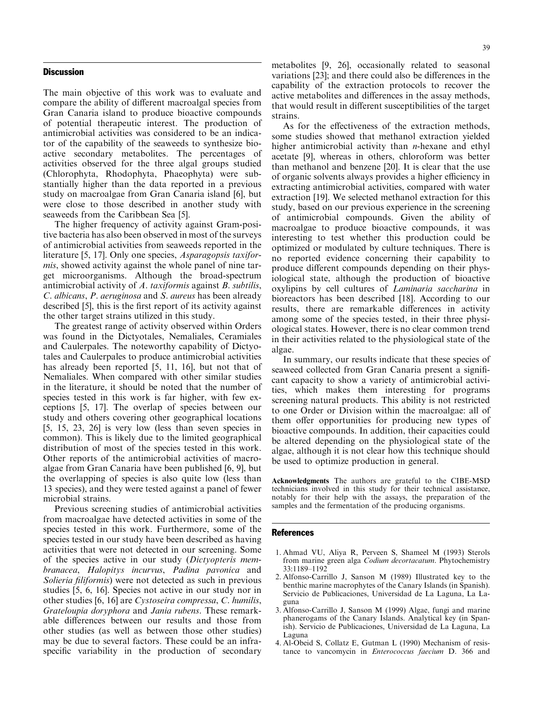#### **Discussion**

The main objective of this work was to evaluate and compare the ability of different macroalgal species from Gran Canaria island to produce bioactive compounds of potential therapeutic interest. The production of antimicrobial activities was considered to be an indicator of the capability of the seaweeds to synthesize bioactive secondary metabolites. The percentages of activities observed for the three algal groups studied (Chlorophyta, Rhodophyta, Phaeophyta) were substantially higher than the data reported in a previous study on macroalgae from Gran Canaria island [6], but were close to those described in another study with seaweeds from the Caribbean Sea [5].

The higher frequency of activity against Gram-positive bacteria has also been observed in most of the surveys of antimicrobial activities from seaweeds reported in the literature [5, 17]. Only one species, *Asparagopsis taxiformis*, showed activity against the whole panel of nine target microorganisms. Although the broad-spectrum antimicrobial activity of A. taxiformis against B. subtilis, C. albicans, P. aeruginosa and S. aureus has been already described [5], this is the first report of its activity against the other target strains utilized in this study.

The greatest range of activity observed within Orders was found in the Dictyotales, Nemaliales, Ceramiales and Caulerpales. The noteworthy capability of Dictyotales and Caulerpales to produce antimicrobial activities has already been reported [5, 11, 16], but not that of Nemaliales. When compared with other similar studies in the literature, it should be noted that the number of species tested in this work is far higher, with few exceptions [5, 17]. The overlap of species between our study and others covering other geographical locations  $[5, 15, 23, 26]$  is very low (less than seven species in common). This is likely due to the limited geographical distribution of most of the species tested in this work. Other reports of the antimicrobial activities of macroalgae from Gran Canaria have been published [6, 9], but the overlapping of species is also quite low (less than 13 species), and they were tested against a panel of fewer microbial strains.

Previous screening studies of antimicrobial activities from macroalgae have detected activities in some of the species tested in this work. Furthermore, some of the species tested in our study have been described as having activities that were not detected in our screening. Some of the species active in our study (Dictyopteris membranacea, Halopitys incurvus, Padina pavonica and Solieria filiformis) were not detected as such in previous studies [5, 6, 16]. Species not active in our study nor in other studies [6, 16] are Cystoseira compressa, C. humilis, Grateloupia doryphora and Jania rubens. These remarkable differences between our results and those from other studies (as well as between those other studies) may be due to several factors. These could be an infraspecific variability in the production of secondary metabolites [9, 26], occasionally related to seasonal variations [23]; and there could also be differences in the capability of the extraction protocols to recover the active metabolites and differences in the assay methods, that would result in different susceptibilities of the target strains.

As for the effectiveness of the extraction methods, some studies showed that methanol extraction yielded higher antimicrobial activity than  $n$ -hexane and ethyl acetate [9], whereas in others, chloroform was better than methanol and benzene [20]. It is clear that the use of organic solvents always provides a higher efficiency in extracting antimicrobial activities, compared with water extraction [19]. We selected methanol extraction for this study, based on our previous experience in the screening of antimicrobial compounds. Given the ability of macroalgae to produce bioactive compounds, it was interesting to test whether this production could be optimized or modulated by culture techniques. There is no reported evidence concerning their capability to produce different compounds depending on their physiological state, although the production of bioactive oxylipins by cell cultures of Laminaria saccharina in bioreactors has been described [18]. According to our results, there are remarkable differences in activity among some of the species tested, in their three physiological states. However, there is no clear common trend in their activities related to the physiological state of the algae.

In summary, our results indicate that these species of seaweed collected from Gran Canaria present a significant capacity to show a variety of antimicrobial activities, which makes them interesting for programs screening natural products. This ability is not restricted to one Order or Division within the macroalgae: all of them offer opportunities for producing new types of bioactive compounds. In addition, their capacities could be altered depending on the physiological state of the algae, although it is not clear how this technique should be used to optimize production in general.

Acknowledgments The authors are grateful to the CIBE-MSD technicians involved in this study for their technical assistance, notably for their help with the assays, the preparation of the samples and the fermentation of the producing organisms.

#### **References**

- 1. Ahmad VU, Aliya R, Perveen S, Shameel M (1993) Sterols from marine green alga Codium decortacatum. Phytochemistry 33:1189-1192
- 2. Alfonso-Carrillo J. Sanson M (1989) Illustrated key to the benthic marine macrophytes of the Canary Islands (in Spanish). Servicio de Publicaciones, Universidad de La Laguna, La Laguna
- 3. Alfonso-Carrillo J, Sanson M (1999) Algae, fungi and marine phanerogams of the Canary Islands. Analytical key (in Spanish). Servicio de Publicaciones, Universidad de La Laguna, La Laguna
- 4. Al-Obeid S, Collatz E, Gutman L (1990) Mechanism of resistance to vancomycin in *Enterococcus faecium* D. 366 and